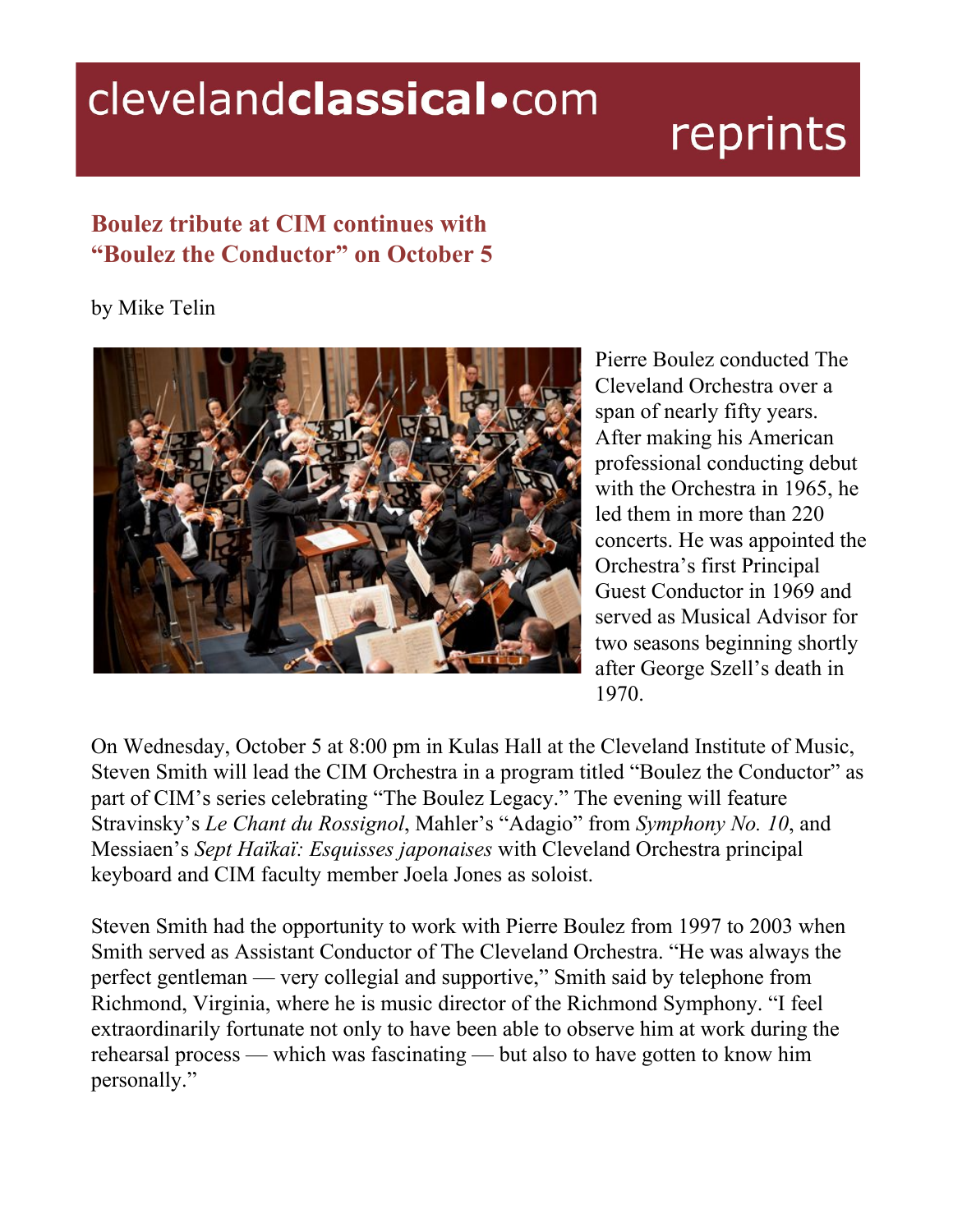## clevelandclassical.com

## reprints

## **Boulez tribute at CIM continues with "Boulez the Conductor" on October 5**

## by Mike Telin



Pierre Boulez conducted The Cleveland Orchestra over a span of nearly fifty years. After making his American professional conducting debut with the Orchestra in 1965, he led them in more than 220 concerts. He was appointed the Orchestra's first Principal Guest Conductor in 1969 and served as Musical Advisor for two seasons beginning shortly after George Szell's death in 1970.

On Wednesday, October 5 at 8:00 pm in Kulas Hall at the Cleveland Institute of Music, Steven Smith will lead the CIM Orchestra in a program titled "Boulez the Conductor" as part of CIM's series celebrating "The Boulez Legacy." The evening will feature Stravinsky's *Le Chant du Rossignol*, Mahler's "Adagio" from *Symphony No. 10*, and Messiaen's *Sept Haïkaï: Esquisses japonaises* with Cleveland Orchestra principal keyboard and CIM faculty member Joela Jones as soloist.

Steven Smith had the opportunity to work with Pierre Boulez from 1997 to 2003 when Smith served as Assistant Conductor of The Cleveland Orchestra. "He was always the perfect gentleman — very collegial and supportive," Smith said by telephone from Richmond, Virginia, where he is music director of the Richmond Symphony. "I feel extraordinarily fortunate not only to have been able to observe him at work during the rehearsal process — which was fascinating — but also to have gotten to know him personally."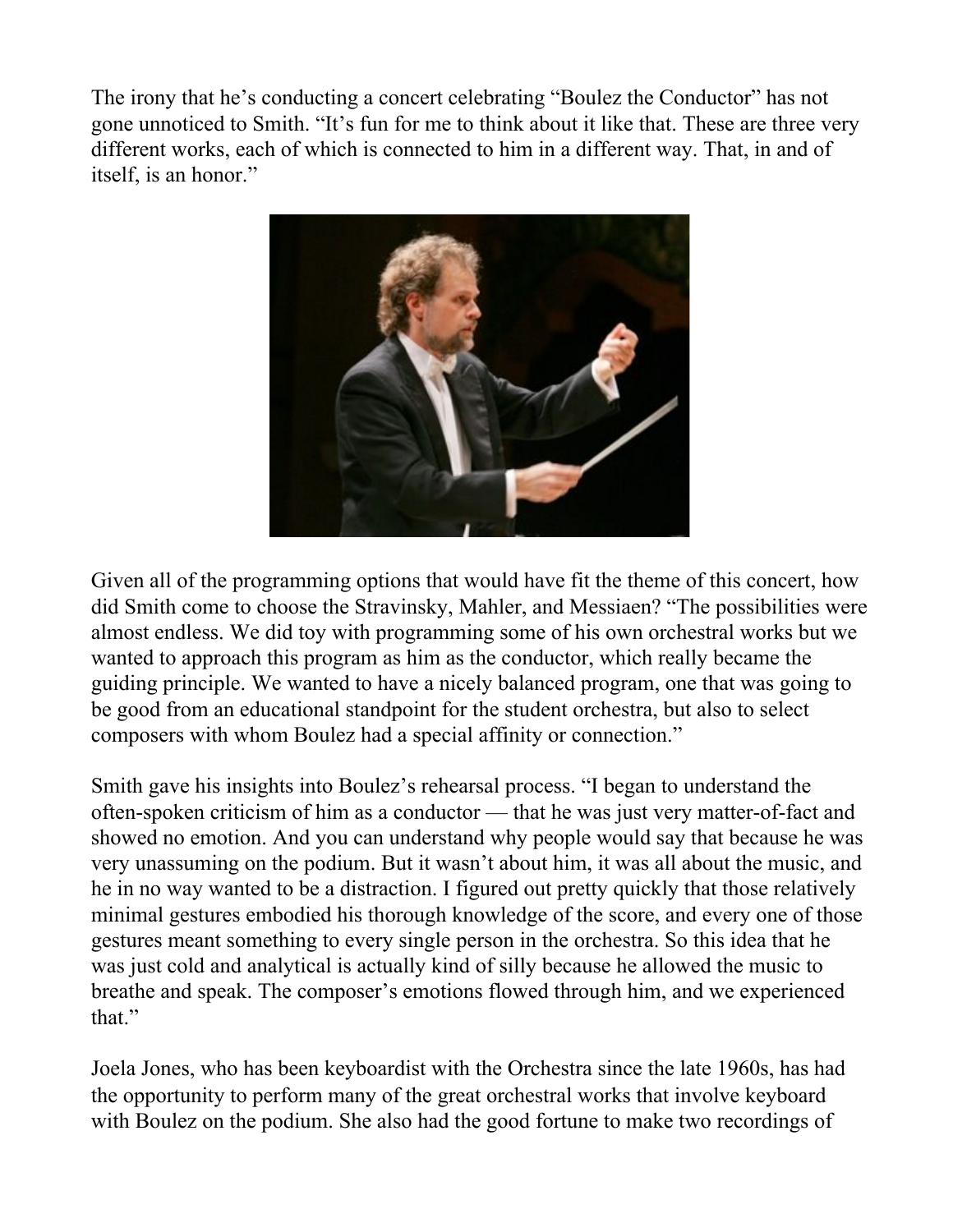The irony that he's conducting a concert celebrating "Boulez the Conductor" has not gone unnoticed to Smith. "It's fun for me to think about it like that. These are three very different works, each of which is connected to him in a different way. That, in and of itself, is an honor."



Given all of the programming options that would have fit the theme of this concert, how did Smith come to choose the Stravinsky, Mahler, and Messiaen? "The possibilities were almost endless. We did toy with programming some of his own orchestral works but we wanted to approach this program as him as the conductor, which really became the guiding principle. We wanted to have a nicely balanced program, one that was going to be good from an educational standpoint for the student orchestra, but also to select composers with whom Boulez had a special affinity or connection."

Smith gave his insights into Boulez's rehearsal process. "I began to understand the often-spoken criticism of him as a conductor — that he was just very matter-of-fact and showed no emotion. And you can understand why people would say that because he was very unassuming on the podium. But it wasn't about him, it was all about the music, and he in no way wanted to be a distraction. I figured out pretty quickly that those relatively minimal gestures embodied his thorough knowledge of the score, and every one of those gestures meant something to every single person in the orchestra. So this idea that he was just cold and analytical is actually kind of silly because he allowed the music to breathe and speak. The composer's emotions flowed through him, and we experienced that."

Joela Jones, who has been keyboardist with the Orchestra since the late 1960s, has had the opportunity to perform many of the great orchestral works that involve keyboard with Boulez on the podium. She also had the good fortune to make two recordings of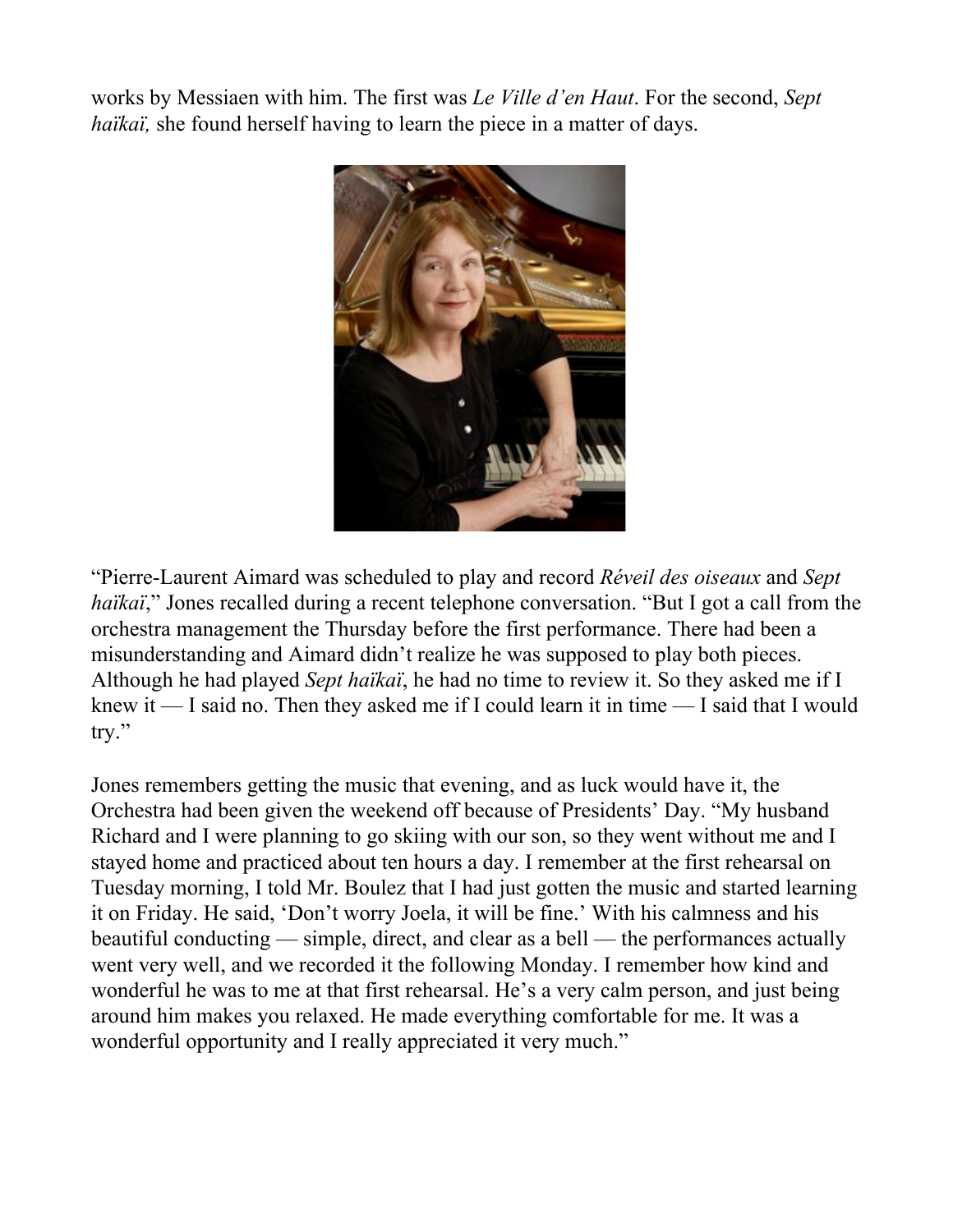works by Messiaen with him. The first was *Le Ville d'en Haut*. For the second, *Sept haïkaï*, she found herself having to learn the piece in a matter of days.



"Pierre-Laurent Aimard was scheduled to play and record *Réveil des oiseaux* and *Sept haïkaï*," Jones recalled during a recent telephone conversation. "But I got a call from the orchestra management the Thursday before the first performance. There had been a misunderstanding and Aimard didn't realize he was supposed to play both pieces. Although he had played *Sept haïkaï*, he had no time to review it. So they asked me if I knew it — I said no. Then they asked me if I could learn it in time — I said that I would try."

Jones remembers getting the music that evening, and as luck would have it, the Orchestra had been given the weekend off because of Presidents' Day. "My husband Richard and I were planning to go skiing with our son, so they went without me and I stayed home and practiced about ten hours a day. I remember at the first rehearsal on Tuesday morning, I told Mr. Boulez that I had just gotten the music and started learning it on Friday. He said, 'Don't worry Joela, it will be fine.' With his calmness and his beautiful conducting — simple, direct, and clear as a bell — the performances actually went very well, and we recorded it the following Monday. I remember how kind and wonderful he was to me at that first rehearsal. He's a very calm person, and just being around him makes you relaxed. He made everything comfortable for me. It was a wonderful opportunity and I really appreciated it very much."